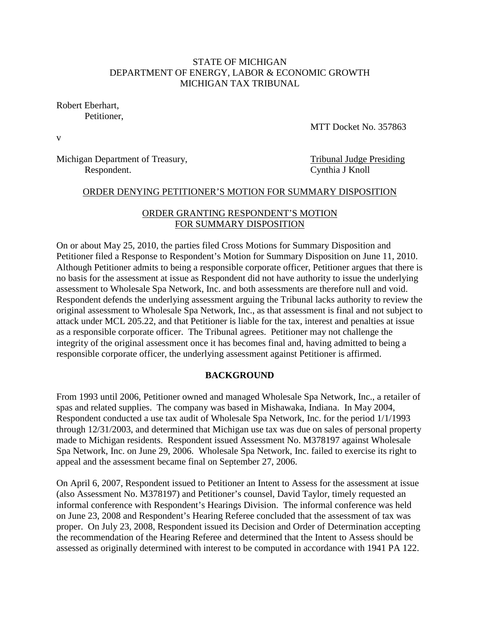### STATE OF MICHIGAN DEPARTMENT OF ENERGY, LABOR & ECONOMIC GROWTH MICHIGAN TAX TRIBUNAL

Robert Eberhart,

Petitioner,

MTT Docket No. 357863

v

Michigan Department of Treasury, Tribunal Judge Presiding Respondent. Cynthia J Knoll

#### ORDER DENYING PETITIONER'S MOTION FOR SUMMARY DISPOSITION

## ORDER GRANTING RESPONDENT'S MOTION FOR SUMMARY DISPOSITION

On or about May 25, 2010, the parties filed Cross Motions for Summary Disposition and Petitioner filed a Response to Respondent's Motion for Summary Disposition on June 11, 2010. Although Petitioner admits to being a responsible corporate officer, Petitioner argues that there is no basis for the assessment at issue as Respondent did not have authority to issue the underlying assessment to Wholesale Spa Network, Inc. and both assessments are therefore null and void. Respondent defends the underlying assessment arguing the Tribunal lacks authority to review the original assessment to Wholesale Spa Network, Inc., as that assessment is final and not subject to attack under MCL 205.22, and that Petitioner is liable for the tax, interest and penalties at issue as a responsible corporate officer. The Tribunal agrees. Petitioner may not challenge the integrity of the original assessment once it has becomes final and, having admitted to being a responsible corporate officer, the underlying assessment against Petitioner is affirmed.

### **BACKGROUND**

From 1993 until 2006, Petitioner owned and managed Wholesale Spa Network, Inc., a retailer of spas and related supplies. The company was based in Mishawaka, Indiana. In May 2004, Respondent conducted a use tax audit of Wholesale Spa Network, Inc. for the period 1/1/1993 through 12/31/2003, and determined that Michigan use tax was due on sales of personal property made to Michigan residents. Respondent issued Assessment No. M378197 against Wholesale Spa Network, Inc. on June 29, 2006. Wholesale Spa Network, Inc. failed to exercise its right to appeal and the assessment became final on September 27, 2006.

On April 6, 2007, Respondent issued to Petitioner an Intent to Assess for the assessment at issue (also Assessment No. M378197) and Petitioner's counsel, David Taylor, timely requested an informal conference with Respondent's Hearings Division. The informal conference was held on June 23, 2008 and Respondent's Hearing Referee concluded that the assessment of tax was proper. On July 23, 2008, Respondent issued its Decision and Order of Determination accepting the recommendation of the Hearing Referee and determined that the Intent to Assess should be assessed as originally determined with interest to be computed in accordance with 1941 PA 122.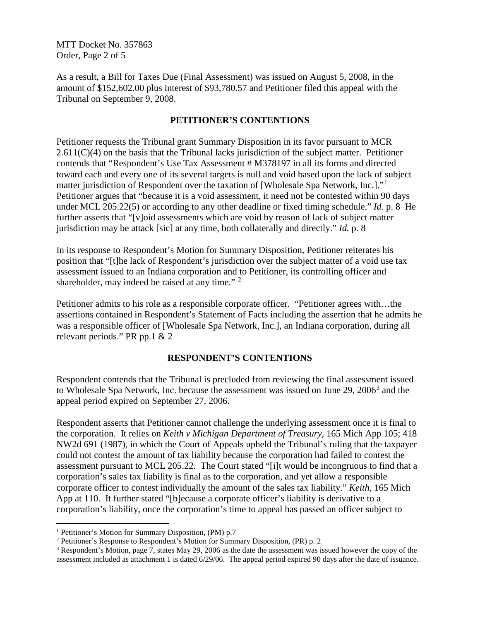MTT Docket No. 357863 Order, Page 2 of 5

As a result, a Bill for Taxes Due (Final Assessment) was issued on August 5, 2008, in the amount of \$152,602.00 plus interest of \$93,780.57 and Petitioner filed this appeal with the Tribunal on September 9, 2008.

## **PETITIONER'S CONTENTIONS**

Petitioner requests the Tribunal grant Summary Disposition in its favor pursuant to MCR  $2.611(C)(4)$  on the basis that the Tribunal lacks jurisdiction of the subject matter. Petitioner contends that "Respondent's Use Tax Assessment # M378197 in all its forms and directed toward each and every one of its several targets is null and void based upon the lack of subject matter jurisdiction of Respondent over the taxation of [Wholesale Spa Network, Inc.]."<sup>[1](#page-1-0)</sup> Petitioner argues that "because it is a void assessment, it need not be contested within 90 days under MCL 205.22(5) or according to any other deadline or fixed timing schedule." *Id.* p. 8 He further asserts that "[v]oid assessments which are void by reason of lack of subject matter jurisdiction may be attack [sic] at any time, both collaterally and directly." *Id.* p. 8

In its response to Respondent's Motion for Summary Disposition, Petitioner reiterates his position that "[t]he lack of Respondent's jurisdiction over the subject matter of a void use tax assessment issued to an Indiana corporation and to Petitioner, its controlling officer and shareholder, may indeed be raised at any time." <sup>[2](#page-1-1)</sup>

Petitioner admits to his role as a responsible corporate officer. "Petitioner agrees with…the assertions contained in Respondent's Statement of Facts including the assertion that he admits he was a responsible officer of [Wholesale Spa Network, Inc.], an Indiana corporation, during all relevant periods." PR pp.1 & 2

## **RESPONDENT'S CONTENTIONS**

Respondent contends that the Tribunal is precluded from reviewing the final assessment issued to Wholesale Spa Network, Inc. because the assessment was issued on June 29, 2006<sup>[3](#page-1-2)</sup> and the appeal period expired on September 27, 2006.

Respondent asserts that Petitioner cannot challenge the underlying assessment once it is final to the corporation. It relies on *Keith v Michigan Department of Treasury*, 165 Mich App 105; 418 NW2d 691 (1987), in which the Court of Appeals upheld the Tribunal's ruling that the taxpayer could not contest the amount of tax liability because the corporation had failed to contest the assessment pursuant to MCL 205.22. The Court stated "[i]t would be incongruous to find that a corporation's sales tax liability is final as to the corporation, and yet allow a responsible corporate officer to contest individually the amount of the sales tax liability." *Keith,* 165 Mich App at 110. It further stated "[b]ecause a corporate officer's liability is derivative to a corporation's liability, once the corporation's time to appeal has passed an officer subject to

<span id="page-1-0"></span> <sup>1</sup> Petitioner's Motion for Summary Disposition, (PM) p.7

<span id="page-1-1"></span><sup>2</sup> Petitioner's Response to Respondent's Motion for Summary Disposition, (PR) p. 2

<span id="page-1-2"></span><sup>3</sup> Respondent's Motion, page 7, states May 29, 2006 as the date the assessment was issued however the copy of the assessment included as attachment 1 is dated 6/29/06. The appeal period expired 90 days after the date of issuance.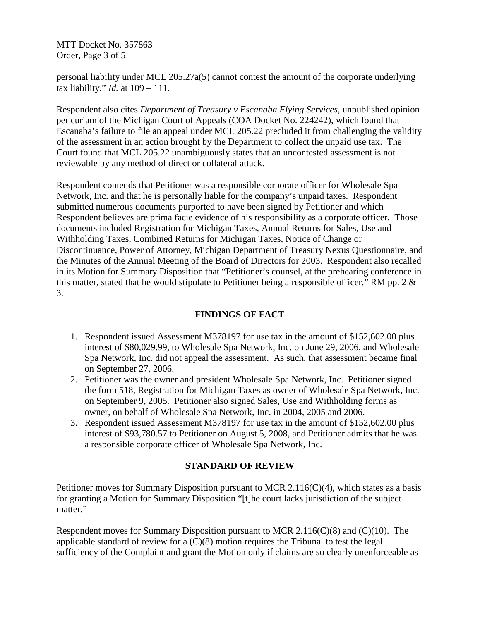MTT Docket No. 357863 Order, Page 3 of 5

personal liability under MCL 205.27a(5) cannot contest the amount of the corporate underlying tax liability." *Id.* at 109 – 111.

Respondent also cites *Department of Treasury v Escanaba Flying Services*, unpublished opinion per curiam of the Michigan Court of Appeals (COA Docket No. 224242), which found that Escanaba's failure to file an appeal under MCL 205.22 precluded it from challenging the validity of the assessment in an action brought by the Department to collect the unpaid use tax. The Court found that MCL 205.22 unambiguously states that an uncontested assessment is not reviewable by any method of direct or collateral attack.

Respondent contends that Petitioner was a responsible corporate officer for Wholesale Spa Network, Inc. and that he is personally liable for the company's unpaid taxes. Respondent submitted numerous documents purported to have been signed by Petitioner and which Respondent believes are prima facie evidence of his responsibility as a corporate officer. Those documents included Registration for Michigan Taxes, Annual Returns for Sales, Use and Withholding Taxes, Combined Returns for Michigan Taxes, Notice of Change or Discontinuance, Power of Attorney, Michigan Department of Treasury Nexus Questionnaire, and the Minutes of the Annual Meeting of the Board of Directors for 2003. Respondent also recalled in its Motion for Summary Disposition that "Petitioner's counsel, at the prehearing conference in this matter, stated that he would stipulate to Petitioner being a responsible officer." RM pp. 2 & 3.

## **FINDINGS OF FACT**

- 1. Respondent issued Assessment M378197 for use tax in the amount of \$152,602.00 plus interest of \$80,029.99, to Wholesale Spa Network, Inc. on June 29, 2006, and Wholesale Spa Network, Inc. did not appeal the assessment. As such, that assessment became final on September 27, 2006.
- 2. Petitioner was the owner and president Wholesale Spa Network, Inc. Petitioner signed the form 518, Registration for Michigan Taxes as owner of Wholesale Spa Network, Inc. on September 9, 2005. Petitioner also signed Sales, Use and Withholding forms as owner, on behalf of Wholesale Spa Network, Inc. in 2004, 2005 and 2006.
- 3. Respondent issued Assessment M378197 for use tax in the amount of \$152,602.00 plus interest of \$93,780.57 to Petitioner on August 5, 2008, and Petitioner admits that he was a responsible corporate officer of Wholesale Spa Network, Inc.

## **STANDARD OF REVIEW**

Petitioner moves for Summary Disposition pursuant to MCR 2.116( $C$ )(4), which states as a basis for granting a Motion for Summary Disposition "[t]he court lacks jurisdiction of the subject matter."

Respondent moves for Summary Disposition pursuant to MCR 2.116(C)(8) and (C)(10). The applicable standard of review for a (C)(8) motion requires the Tribunal to test the legal sufficiency of the Complaint and grant the Motion only if claims are so clearly unenforceable as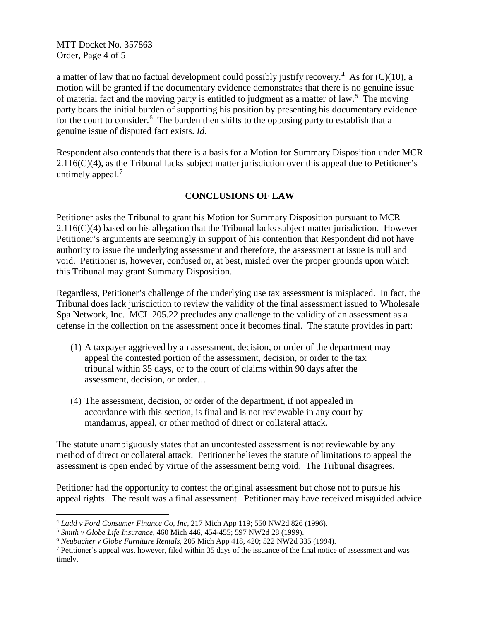MTT Docket No. 357863 Order, Page 4 of 5

a matter of law that no factual development could possibly justify recovery.<sup>[4](#page-3-0)</sup> As for  $(C)(10)$ , a motion will be granted if the documentary evidence demonstrates that there is no genuine issue of material fact and the moving party is entitled to judgment as a matter of law.<sup>[5](#page-3-1)</sup> The moving party bears the initial burden of supporting his position by presenting his documentary evidence for the court to consider.<sup>[6](#page-3-2)</sup> The burden then shifts to the opposing party to establish that a genuine issue of disputed fact exists. *Id.*

Respondent also contends that there is a basis for a Motion for Summary Disposition under MCR 2.116(C)(4), as the Tribunal lacks subject matter jurisdiction over this appeal due to Petitioner's untimely appeal. $<sup>7</sup>$  $<sup>7</sup>$  $<sup>7</sup>$ </sup>

# **CONCLUSIONS OF LAW**

Petitioner asks the Tribunal to grant his Motion for Summary Disposition pursuant to MCR 2.116(C)(4) based on his allegation that the Tribunal lacks subject matter jurisdiction. However Petitioner's arguments are seemingly in support of his contention that Respondent did not have authority to issue the underlying assessment and therefore, the assessment at issue is null and void. Petitioner is, however, confused or, at best, misled over the proper grounds upon which this Tribunal may grant Summary Disposition.

Regardless, Petitioner's challenge of the underlying use tax assessment is misplaced. In fact, the Tribunal does lack jurisdiction to review the validity of the final assessment issued to Wholesale Spa Network, Inc. MCL 205.22 precludes any challenge to the validity of an assessment as a defense in the collection on the assessment once it becomes final. The statute provides in part:

- (1) A taxpayer aggrieved by an assessment, decision, or order of the department may appeal the contested portion of the assessment, decision, or order to the tax tribunal within 35 days, or to the court of claims within 90 days after the assessment, decision, or order…
- (4) The assessment, decision, or order of the department, if not appealed in accordance with this section, is final and is not reviewable in any court by mandamus, appeal, or other method of direct or collateral attack.

The statute unambiguously states that an uncontested assessment is not reviewable by any method of direct or collateral attack. Petitioner believes the statute of limitations to appeal the assessment is open ended by virtue of the assessment being void. The Tribunal disagrees.

Petitioner had the opportunity to contest the original assessment but chose not to pursue his appeal rights. The result was a final assessment. Petitioner may have received misguided advice

<span id="page-3-0"></span> <sup>4</sup> *Ladd v Ford Consumer Finance Co, Inc,* 217 Mich App 119; 550 NW2d 826 (1996).

<span id="page-3-1"></span><sup>5</sup> *Smith v Globe Life Insurance*, 460 Mich 446, 454-455; 597 NW2d 28 (1999).

<span id="page-3-2"></span><sup>6</sup> *Neubacher v Globe Furniture Rentals,* 205 Mich App 418, 420; 522 NW2d 335 (1994).

<span id="page-3-3"></span> $<sup>7</sup>$  Petitioner's appeal was, however, filed within 35 days of the issuance of the final notice of assessment and was</sup> timely.